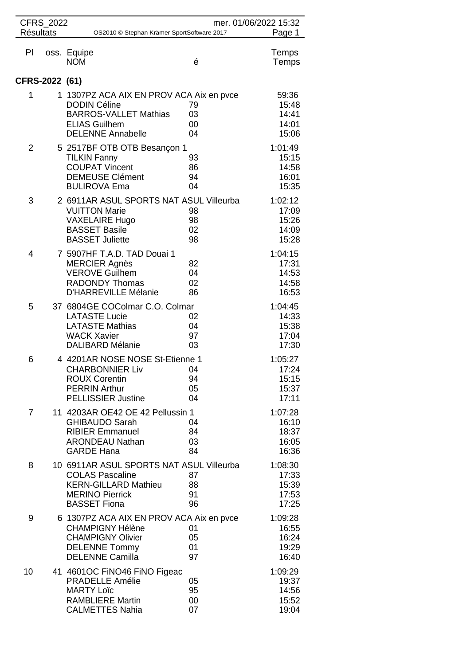| <b>Résultats</b> | CFRS_2022 | OS2010 © Stephan Krämer SportSoftware 2017                                                                                                          |                          | mer. 01/06/2022 15:32<br>Page 1             |
|------------------|-----------|-----------------------------------------------------------------------------------------------------------------------------------------------------|--------------------------|---------------------------------------------|
| PI               |           | oss. Equipe<br><b>NOM</b>                                                                                                                           | é                        | Temps<br>Temps                              |
| CFRS-2022 (61)   |           |                                                                                                                                                     |                          |                                             |
| 1                |           | 1 1307PZ ACA AIX EN PROV ACA Aix en pvce<br><b>DODIN Céline</b><br><b>BARROS-VALLET Mathias</b><br><b>ELIAS Guilhem</b><br><b>DELENNE Annabelle</b> | 79<br>03<br>00<br>04     | 59:36<br>15:48<br>14:41<br>14:01<br>15:06   |
| $\overline{2}$   |           | 5 2517BF OTB OTB Besançon 1<br><b>TILKIN Fanny</b><br><b>COUPAT Vincent</b><br><b>DEMEUSE Clément</b><br><b>BULIROVA Ema</b>                        | 93<br>86<br>94<br>04     | 1:01:49<br>15:15<br>14:58<br>16:01<br>15:35 |
| 3                |           | 2 6911AR ASUL SPORTS NAT ASUL Villeurba<br><b>VUITTON Marie</b><br><b>VAXELAIRE Hugo</b><br><b>BASSET Basile</b><br><b>BASSET Juliette</b>          | 98<br>98<br>02<br>98     | 1:02:12<br>17:09<br>15:26<br>14:09<br>15:28 |
| 4                |           | 7 5907HF T.A.D. TAD Douai 1<br><b>MERCIER Agnès</b><br><b>VEROVE Guilhem</b><br><b>RADONDY Thomas</b><br>D'HARREVILLE Mélanie                       | 82<br>04<br>02<br>86     | 1:04:15<br>17:31<br>14:53<br>14:58<br>16:53 |
| 5                |           | 37 6804GE COColmar C.O. Colmar<br><b>LATASTE Lucie</b><br><b>LATASTE Mathias</b><br><b>WACK Xavier</b><br><b>DALIBARD Mélanie</b>                   | 02<br>04<br>97<br>03     | 1:04:45<br>14:33<br>15:38<br>17:04<br>17:30 |
| 6                |           | 4 4201AR NOSE NOSE St-Etienne 1<br><b>CHARBONNIER Liv</b><br><b>ROUX Corentin</b><br><b>PERRIN Arthur</b><br><b>PELLISSIER Justine</b>              | 04<br>94<br>05<br>04     | 1:05:27<br>17:24<br>15:15<br>15:37<br>17:11 |
| $\overline{7}$   |           | 11 4203AR OE42 OE 42 Pellussin 1<br><b>GHIBAUDO Sarah</b><br><b>RIBIER Emmanuel</b><br><b>ARONDEAU Nathan</b><br><b>GARDE Hana</b>                  | 04<br>84<br>03<br>84     | 1:07:28<br>16:10<br>18:37<br>16:05<br>16:36 |
| 8                |           | 10 6911AR ASUL SPORTS NAT ASUL Villeurba<br><b>COLAS Pascaline</b><br><b>KERN-GILLARD Mathieu</b><br><b>MERINO Pierrick</b><br><b>BASSET Fiona</b>  | 87<br>88<br>91<br>96     | 1:08:30<br>17:33<br>15:39<br>17:53<br>17:25 |
| 9                |           | 6 1307PZ ACA AIX EN PROV ACA Aix en pvce<br><b>CHAMPIGNY Hélène</b><br><b>CHAMPIGNY Olivier</b><br><b>DELENNE Tommy</b><br><b>DELENNE Camilla</b>   | 01<br>05<br>01<br>97     | 1:09:28<br>16:55<br>16:24<br>19:29<br>16:40 |
| 10               |           | 41 4601 OC FINO 46 FINO Figeac<br>PRADELLE Amélie<br><b>MARTY Loïc</b><br><b>RAMBLIERE Martin</b><br><b>CALMETTES Nahia</b>                         | 05<br>95<br>$00\,$<br>07 | 1:09:29<br>19:37<br>14:56<br>15:52<br>19:04 |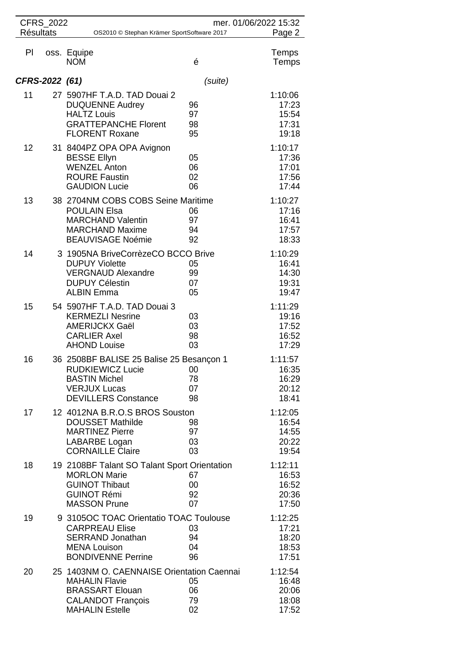| <b>Résultats</b> | CFRS_2022 | OS2010 © Stephan Krämer SportSoftware 2017                                                                                                          |                           | mer. 01/06/2022 15:32<br>Page 2             |
|------------------|-----------|-----------------------------------------------------------------------------------------------------------------------------------------------------|---------------------------|---------------------------------------------|
| PI               |           | oss. Equipe<br><b>NOM</b>                                                                                                                           | é                         | Temps<br>Temps                              |
| CFRS-2022 (61)   |           |                                                                                                                                                     | (suite)                   |                                             |
| 11               |           | 27 5907HF T.A.D. TAD Douai 2<br><b>DUQUENNE Audrey</b><br><b>HALTZ Louis</b><br><b>GRATTEPANCHE Florent</b><br><b>FLORENT Roxane</b>                | 96<br>97<br>98<br>95      | 1:10:06<br>17:23<br>15:54<br>17:31<br>19:18 |
| 12               |           | 31 8404PZ OPA OPA Avignon<br><b>BESSE Ellyn</b><br><b>WENZEL Anton</b><br><b>ROURE Faustin</b><br><b>GAUDION Lucie</b>                              | 05<br>06<br>02<br>06      | 1:10:17<br>17:36<br>17:01<br>17:56<br>17:44 |
| 13               |           | 38 2704NM COBS COBS Seine Maritime<br><b>POULAIN Elsa</b><br><b>MARCHAND Valentin</b><br><b>MARCHAND Maxime</b><br><b>BEAUVISAGE Noémie</b>         | 06<br>97<br>94<br>92      | 1:10:27<br>17:16<br>16:41<br>17:57<br>18:33 |
| 14               |           | 3 1905NA BriveCorrèzeCO BCCO Brive<br><b>DUPUY Violette</b><br><b>VERGNAUD Alexandre</b><br><b>DUPUY Célestin</b><br><b>ALBIN Emma</b>              | 05<br>99<br>07<br>05      | 1:10:29<br>16:41<br>14:30<br>19:31<br>19:47 |
| 15               |           | 54 5907HF T.A.D. TAD Douai 3<br><b>KERMEZLI Nesrine</b><br><b>AMERIJCKX Gaël</b><br><b>CARLIER Axel</b><br><b>AHOND Louise</b>                      | 03<br>03<br>98<br>03      | 1:11:29<br>19:16<br>17:52<br>16:52<br>17:29 |
| 16               |           | 36 2508BF BALISE 25 Balise 25 Besançon 1<br><b>RUDKIEWICZ Lucie</b><br><b>BASTIN Michel</b><br><b>VERJUX Lucas</b><br><b>DEVILLERS Constance</b>    | $_{00}$<br>78<br>07<br>98 | 1:11:57<br>16:35<br>16:29<br>20:12<br>18:41 |
| 17               |           | 12 4012NA B.R.O.S BROS Souston<br><b>DOUSSET Mathilde</b><br><b>MARTINEZ Pierre</b><br>LABARBE Logan<br><b>CORNAILLE Claire</b>                     | 98<br>97<br>03<br>03      | 1:12:05<br>16:54<br>14:55<br>20:22<br>19:54 |
| 18               |           | 19 2108BF Talant SO Talant Sport Orientation<br><b>MORLON Marie</b><br><b>GUINOT Thibaut</b><br><b>GUINOT Rémi</b><br><b>MASSON Prune</b>           | 67<br>00<br>92<br>07      | 1:12:11<br>16:53<br>16:52<br>20:36<br>17:50 |
| 19               |           | 9 3105OC TOAC Orientatio TOAC Toulouse<br><b>CARPREAU Elise</b><br><b>SERRAND Jonathan</b><br><b>MENA Louison</b><br><b>BONDIVENNE Perrine</b>      | 03<br>94<br>04<br>96      | 1:12:25<br>17:21<br>18:20<br>18:53<br>17:51 |
| 20               |           | 25 1403NM O. CAENNAISE Orientation Caennai<br><b>MAHALIN Flavie</b><br><b>BRASSART Elouan</b><br><b>CALANDOT François</b><br><b>MAHALIN Estelle</b> | 05<br>06<br>79<br>02      | 1:12:54<br>16:48<br>20:06<br>18:08<br>17:52 |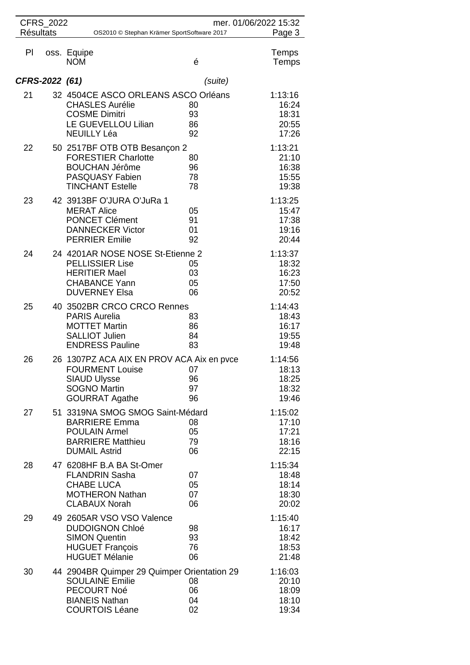| <b>CFRS 2022</b><br>mer. 01/06/2022 15:32                      |  |                                                                                                                                               |                      |                                             |
|----------------------------------------------------------------|--|-----------------------------------------------------------------------------------------------------------------------------------------------|----------------------|---------------------------------------------|
| <b>Résultats</b><br>OS2010 © Stephan Krämer SportSoftware 2017 |  |                                                                                                                                               |                      | Page 3                                      |
| PI                                                             |  | oss. Equipe<br><b>NOM</b>                                                                                                                     | é                    | Temps<br>Temps                              |
| CFRS-2022 (61)                                                 |  |                                                                                                                                               | (suite)              |                                             |
| 21                                                             |  | 32 4504CE ASCO ORLEANS ASCO Orléans<br><b>CHASLES Aurélie</b><br><b>COSME Dimitri</b><br>LE GUEVELLOU Lilian<br><b>NEUILLY Léa</b>            | 80<br>93<br>86<br>92 | 1:13:16<br>16:24<br>18:31<br>20:55<br>17:26 |
| 22                                                             |  | 50 2517BF OTB OTB Besançon 2<br><b>FORESTIER Charlotte</b><br><b>BOUCHAN Jérôme</b><br><b>PASQUASY Fabien</b><br><b>TINCHANT Estelle</b>      | 80<br>96<br>78<br>78 | 1:13:21<br>21:10<br>16:38<br>15:55<br>19:38 |
| 23                                                             |  | 42 3913BF O'JURA O'JuRa 1<br><b>MERAT Alice</b><br><b>PONCET Clément</b><br><b>DANNECKER Victor</b><br><b>PERRIER Emilie</b>                  | 05<br>91<br>01<br>92 | 1:13:25<br>15:47<br>17:38<br>19:16<br>20:44 |
| 24                                                             |  | 24 4201AR NOSE NOSE St-Etienne 2<br><b>PELLISSIER Lise</b><br><b>HERITIER Mael</b><br><b>CHABANCE Yann</b><br><b>DUVERNEY Elsa</b>            | 05<br>03<br>05<br>06 | 1:13:37<br>18:32<br>16:23<br>17:50<br>20:52 |
| 25                                                             |  | 40 3502BR CRCO CRCO Rennes<br><b>PARIS Aurelia</b><br><b>MOTTET Martin</b><br><b>SALLIOT Julien</b><br><b>ENDRESS Pauline</b>                 | 83<br>86<br>84<br>83 | 1:14:43<br>18:43<br>16:17<br>19:55<br>19:48 |
| 26                                                             |  | 26 1307PZ ACA AIX EN PROV ACA Aix en pvce<br>FOURMENT Louise 07<br><b>SIAUD Ulysse</b><br><b>SOGNO Martin</b><br><b>GOURRAT Agathe</b>        | 96<br>97<br>96       | 1:14:56<br>18:13<br>18:25<br>18:32<br>19:46 |
| 27                                                             |  | 51 3319NA SMOG SMOG Saint-Médard<br><b>BARRIERE Emma</b><br><b>POULAIN Armel</b><br><b>BARRIERE Matthieu</b><br><b>DUMAIL Astrid</b>          | 08<br>05<br>79<br>06 | 1:15:02<br>17:10<br>17:21<br>18:16<br>22:15 |
| 28                                                             |  | 47 6208HF B.A BA St-Omer<br><b>FLANDRIN Sasha</b><br><b>CHABE LUCA</b><br><b>MOTHERON Nathan</b><br><b>CLABAUX Norah</b>                      | 07<br>05<br>07<br>06 | 1:15:34<br>18:48<br>18:14<br>18:30<br>20:02 |
| 29                                                             |  | 49 2605AR VSO VSO Valence<br><b>DUDOIGNON Chloé</b><br><b>SIMON Quentin</b><br><b>HUGUET François</b><br><b>HUGUET Mélanie</b>                | 98<br>93<br>76<br>06 | 1:15:40<br>16:17<br>18:42<br>18:53<br>21:48 |
| 30                                                             |  | 44 2904BR Quimper 29 Quimper Orientation 29<br><b>SOULAINE Emilie</b><br><b>PECOURT Noé</b><br><b>BIANEIS Nathan</b><br><b>COURTOIS Léane</b> | 08<br>06<br>04<br>02 | 1:16:03<br>20:10<br>18:09<br>18:10<br>19:34 |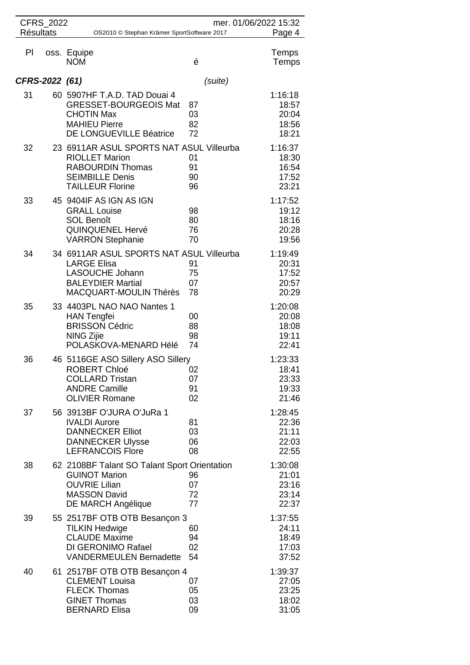| <b>Résultats</b> | CFRS_2022 | OS2010 © Stephan Krämer SportSoftware 2017                                                                                                        | mer. 01/06/2022 15:32 | Page 4                                      |
|------------------|-----------|---------------------------------------------------------------------------------------------------------------------------------------------------|-----------------------|---------------------------------------------|
| PI               |           | oss. Equipe<br><b>NOM</b>                                                                                                                         | é                     | Temps<br>Temps                              |
| CFRS-2022 (61)   |           |                                                                                                                                                   | (suite)               |                                             |
| 31               |           | 60 5907HF T.A.D. TAD Douai 4<br><b>GRESSET-BOURGEOIS Mat</b><br><b>CHOTIN Max</b><br><b>MAHIEU Pierre</b><br>DE LONGUEVILLE Béatrice              | 87<br>03<br>82<br>72  | 1:16:18<br>18:57<br>20:04<br>18:56<br>18:21 |
| 32               |           | 23 6911AR ASUL SPORTS NAT ASUL Villeurba<br><b>RIOLLET Marion</b><br><b>RABOURDIN Thomas</b><br><b>SEIMBILLE Denis</b><br><b>TAILLEUR Florine</b> | 01<br>91<br>90<br>96  | 1:16:37<br>18:30<br>16:54<br>17:52<br>23:21 |
| 33               |           | 45 9404IF AS IGN AS IGN<br><b>GRALL Louise</b><br><b>SOL Benoît</b><br><b>QUINQUENEL Hervé</b><br><b>VARRON Stephanie</b>                         | 98<br>80<br>76<br>70  | 1:17:52<br>19:12<br>18:16<br>20:28<br>19:56 |
| 34               |           | 34 6911AR ASUL SPORTS NAT ASUL Villeurba<br><b>LARGE Elisa</b><br>LASOUCHE Johann<br><b>BALEYDIER Martial</b><br>MACQUART-MOULIN Thérès           | 91<br>75<br>07<br>78  | 1:19:49<br>20:31<br>17:52<br>20:57<br>20:29 |
| 35               |           | 33 4403PL NAO NAO Nantes 1<br><b>HAN Tengfei</b><br><b>BRISSON Cédric</b><br><b>NING Zijie</b><br>POLASKOVA-MENARD Hélé                           | 00<br>88<br>98<br>74  | 1:20:08<br>20:08<br>18:08<br>19:11<br>22:41 |
| 36               |           | 46 5116GE ASO Sillery ASO Sillery<br>ROBERT Chloé<br><b>COLLARD Tristan</b><br><b>ANDRE Camille</b><br><b>OLIVIER Romane</b>                      | 02<br>07<br>91<br>02  | 1:23:33<br>18:41<br>23:33<br>19:33<br>21:46 |
| 37               |           | 56 3913BF O'JURA O'JuRa 1<br><b>IVALDI Aurore</b><br><b>DANNECKER Elliot</b><br><b>DANNECKER Ulysse</b><br><b>LEFRANCOIS Flore</b>                | 81<br>03<br>06<br>08  | 1:28:45<br>22:36<br>21:11<br>22:03<br>22:55 |
| 38               |           | 62 2108BF Talant SO Talant Sport Orientation<br><b>GUINOT Marion</b><br><b>OUVRIE Lilian</b><br><b>MASSON David</b><br>DE MARCH Angélique         | 96<br>07<br>72<br>77  | 1:30:08<br>21:01<br>23:16<br>23:14<br>22:37 |
| 39               |           | 55 2517BF OTB OTB Besançon 3<br><b>TILKIN Hedwige</b><br><b>CLAUDE Maxime</b><br>DI GERONIMO Rafael<br><b>VANDERMEULEN Bernadette</b>             | 60<br>94<br>02<br>54  | 1:37:55<br>24:11<br>18:49<br>17:03<br>37:52 |
| 40               |           | 61 2517BF OTB OTB Besançon 4<br><b>CLEMENT Louisa</b><br><b>FLECK Thomas</b><br><b>GINET Thomas</b><br><b>BERNARD Elisa</b>                       | 07<br>05<br>03<br>09  | 1:39:37<br>27:05<br>23:25<br>18:02<br>31:05 |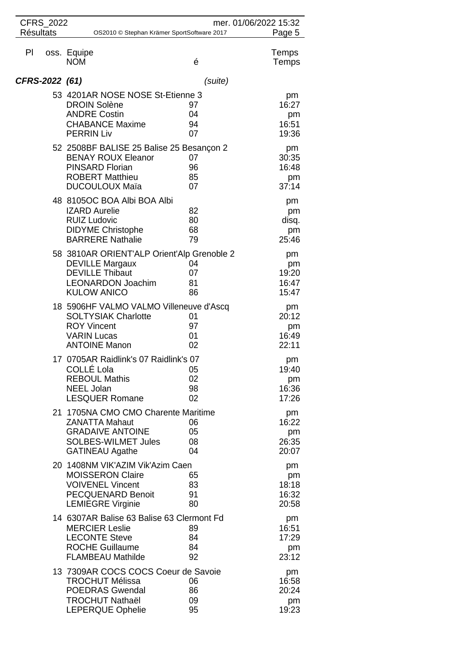| CFRS_2022<br>mer. 01/06/2022 15:32                                       |                                                                                                                                                    |                                  |                                     |  |
|--------------------------------------------------------------------------|----------------------------------------------------------------------------------------------------------------------------------------------------|----------------------------------|-------------------------------------|--|
| <b>Résultats</b><br>Page 5<br>OS2010 © Stephan Krämer SportSoftware 2017 |                                                                                                                                                    |                                  |                                     |  |
| PI                                                                       | oss. Equipe<br><b>NOM</b>                                                                                                                          | é                                | Temps<br>Temps                      |  |
| CFRS-2022 (61)                                                           |                                                                                                                                                    | (suite)                          |                                     |  |
|                                                                          | 53 4201AR NOSE NOSE St-Etienne 3<br><b>DROIN Solène</b><br><b>ANDRE Costin</b><br><b>CHABANCE Maxime</b><br><b>PERRIN Liv</b>                      | 97<br>04<br>94<br>07             | pm<br>16:27<br>pm<br>16:51<br>19:36 |  |
|                                                                          | 52 2508BF BALISE 25 Balise 25 Besançon 2<br><b>BENAY ROUX Eleanor</b><br><b>PINSARD Florian</b><br><b>ROBERT Matthieu</b><br><b>DUCOULOUX Maïa</b> | 07<br>96<br>85<br>07             | pm<br>30:35<br>16:48<br>pm<br>37:14 |  |
|                                                                          | 48 8105OC BOA Albi BOA Albi<br><b>IZARD Aurelie</b><br><b>RUIZ Ludovic</b><br><b>DIDYME Christophe</b><br><b>BARRERE Nathalie</b>                  | 82<br>80<br>68<br>79             | pm<br>pm<br>disq.<br>pm<br>25:46    |  |
|                                                                          | 58 3810AR ORIENT'ALP Orient'Alp Grenoble 2<br><b>DEVILLE Margaux</b><br><b>DEVILLE Thibaut</b><br><b>LEONARDON Joachim</b><br><b>KULOW ANICO</b>   | 04<br>07<br>81<br>86             | pm<br>pm<br>19:20<br>16:47<br>15:47 |  |
|                                                                          | 18 5906HF VALMO VALMO Villeneuve d'Ascq<br><b>SOLTYSIAK Charlotte</b><br><b>ROY Vincent</b><br><b>VARIN Lucas</b><br><b>ANTOINE Manon</b>          | 01<br>97<br>01<br>02             | pm<br>20:12<br>pm<br>16:49<br>22:11 |  |
|                                                                          | 17 0705AR Raidlink's 07 Raidlink's 07<br>COLLÉ Lola<br><b>REBOUL Mathis</b><br><b>NEEL Jolan</b><br><b>LESQUER Romane</b>                          | $\overline{0}$<br>02<br>98<br>02 | pm<br>19:40<br>pm<br>16:36<br>17:26 |  |
|                                                                          | 21 1705NA CMO CMO Charente Maritime<br><b>ZANATTA Mahaut</b><br><b>GRADAIVE ANTOINE</b><br><b>SOLBES-WILMET Jules</b><br><b>GATINEAU Agathe</b>    | 06<br>05<br>08<br>04             | pm<br>16:22<br>pm<br>26:35<br>20:07 |  |
|                                                                          | 20 1408NM VIK'AZIM Vik'Azim Caen<br><b>MOISSERON Claire</b><br><b>VOIVENEL Vincent</b><br><b>PECQUENARD Benoit</b><br><b>LEMIEGRE Virginie</b>     | 65<br>83<br>91<br>80             | pm<br>pm<br>18:18<br>16:32<br>20:58 |  |
|                                                                          | 14 6307AR Balise 63 Balise 63 Clermont Fd<br><b>MERCIER Leslie</b><br><b>LECONTE Steve</b><br><b>ROCHE Guillaume</b><br><b>FLAMBEAU Mathilde</b>   | 89<br>84<br>84<br>92             | pm<br>16:51<br>17:29<br>pm<br>23:12 |  |
|                                                                          | 13 7309AR COCS COCS Coeur de Savoie<br><b>TROCHUT Mélissa</b><br><b>POEDRAS Gwendal</b><br><b>TROCHUT Nathaël</b><br><b>LEPERQUE Ophelie</b>       | 06<br>86<br>09<br>95             | pm<br>16:58<br>20:24<br>pm<br>19:23 |  |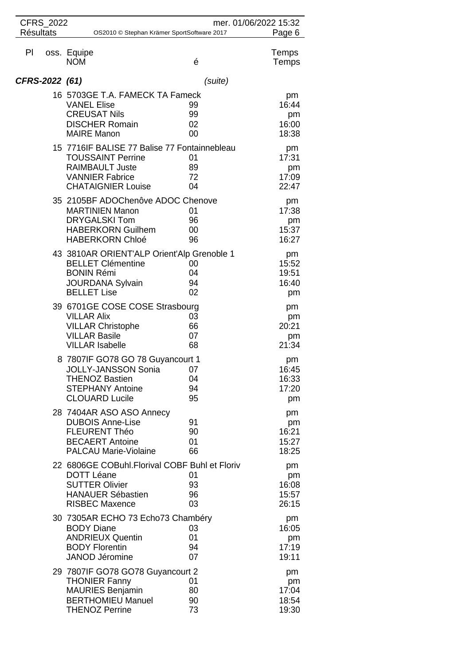| CFRS_2022                                                                |                                                                                                                                                           |                      | mer. 01/06/2022 15:32               |
|--------------------------------------------------------------------------|-----------------------------------------------------------------------------------------------------------------------------------------------------------|----------------------|-------------------------------------|
| <b>Résultats</b><br>Page 6<br>OS2010 © Stephan Krämer SportSoftware 2017 |                                                                                                                                                           |                      |                                     |
| PI                                                                       | oss. Equipe<br><b>NOM</b>                                                                                                                                 | é                    | Temps<br>Temps                      |
| CFRS-2022 (61)                                                           |                                                                                                                                                           | (suite)              |                                     |
|                                                                          | 16 5703GE T.A. FAMECK TA Fameck<br><b>VANEL Elise</b><br><b>CREUSAT Nils</b><br><b>DISCHER Romain</b><br><b>MAIRE Manon</b>                               | 99<br>99<br>02<br>00 | pm<br>16:44<br>pm<br>16:00<br>18:38 |
|                                                                          | 15 7716IF BALISE 77 Balise 77 Fontainnebleau<br><b>TOUSSAINT Perrine</b><br><b>RAIMBAULT Juste</b><br><b>VANNIER Fabrice</b><br><b>CHATAIGNIER Louise</b> | 01<br>89<br>72<br>04 | pm<br>17:31<br>pm<br>17:09<br>22:47 |
|                                                                          | 35 2105BF ADOChenôve ADOC Chenove<br><b>MARTINIEN Manon</b><br><b>DRYGALSKI Tom</b><br><b>HABERKORN Guilhem</b><br><b>HABERKORN Chloé</b>                 | 01<br>96<br>00<br>96 | pm<br>17:38<br>pm<br>15:37<br>16:27 |
|                                                                          | 43 3810AR ORIENT'ALP Orient'Alp Grenoble 1<br><b>BELLET Clémentine</b><br><b>BONIN Rémi</b><br><b>JOURDANA Sylvain</b><br><b>BELLET Lise</b>              | 00<br>04<br>94<br>02 | pm<br>15:52<br>19:51<br>16:40<br>pm |
|                                                                          | 39 6701GE COSE COSE Strasbourg<br><b>VILLAR Alix</b><br><b>VILLAR Christophe</b><br><b>VILLAR Basile</b><br><b>VILLAR Isabelle</b>                        | 03<br>66<br>07<br>68 | pm<br>pm<br>20:21<br>pm<br>21:34    |
|                                                                          | 8 7807IF GO78 GO 78 Guyancourt 1<br>JOLLY-JANSSON Sonia 07<br><b>THENOZ Bastien</b><br><b>STEPHANY Antoine</b><br><b>CLOUARD Lucile</b>                   | 04<br>94<br>95       | pm<br>16:45<br>16:33<br>17:20<br>pm |
|                                                                          | 28 7404AR ASO ASO Annecy<br><b>DUBOIS Anne-Lise</b><br><b>FLEURENT Théo</b><br><b>BECAERT Antoine</b><br><b>PALCAU Marie-Violaine</b>                     | 91<br>90<br>01<br>66 | pm<br>pm<br>16:21<br>15:27<br>18:25 |
|                                                                          | 22 6806GE COBuhl.Florival COBF Buhl et Floriv<br><b>DOTT Léane</b><br><b>SUTTER Olivier</b><br><b>HANAUER Sébastien</b><br><b>RISBEC Maxence</b>          | 01<br>93<br>96<br>03 | pm<br>pm<br>16:08<br>15:57<br>26:15 |
|                                                                          | 30 7305AR ECHO 73 Echo73 Chambéry<br><b>BODY Diane</b><br><b>ANDRIEUX Quentin</b><br><b>BODY Florentin</b><br><b>JANOD Jéromine</b>                       | 03<br>01<br>94<br>07 | pm<br>16:05<br>pm<br>17:19<br>19:11 |
|                                                                          | 29 7807IF GO78 GO78 Guyancourt 2<br><b>THONIER Fanny</b><br><b>MAURIES Benjamin</b><br><b>BERTHOMIEU Manuel</b><br><b>THENOZ Perrine</b>                  | 01<br>80<br>90<br>73 | pm<br>pm<br>17:04<br>18:54<br>19:30 |